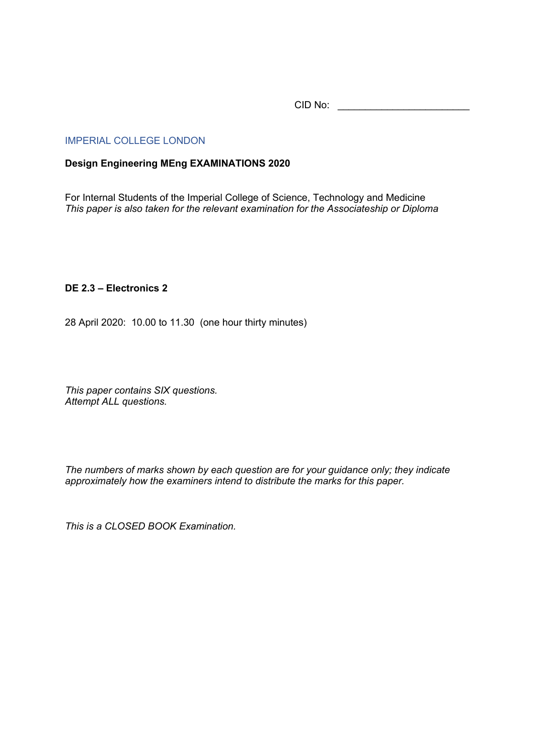CID No: \_\_\_\_\_\_\_\_\_\_\_\_\_\_\_\_\_\_\_\_\_\_\_\_

## IMPERIAL COLLEGE LONDON

## **Design Engineering MEng EXAMINATIONS 2020**

For Internal Students of the Imperial College of Science, Technology and Medicine *This paper is also taken for the relevant examination for the Associateship or Diploma*

## **DE 2.3 – Electronics 2**

28 April 2020: 10.00 to 11.30 (one hour thirty minutes)

*This paper contains SIX questions. Attempt ALL questions.* 

*The numbers of marks shown by each question are for your guidance only; they indicate approximately how the examiners intend to distribute the marks for this paper.*

*This is a CLOSED BOOK Examination.*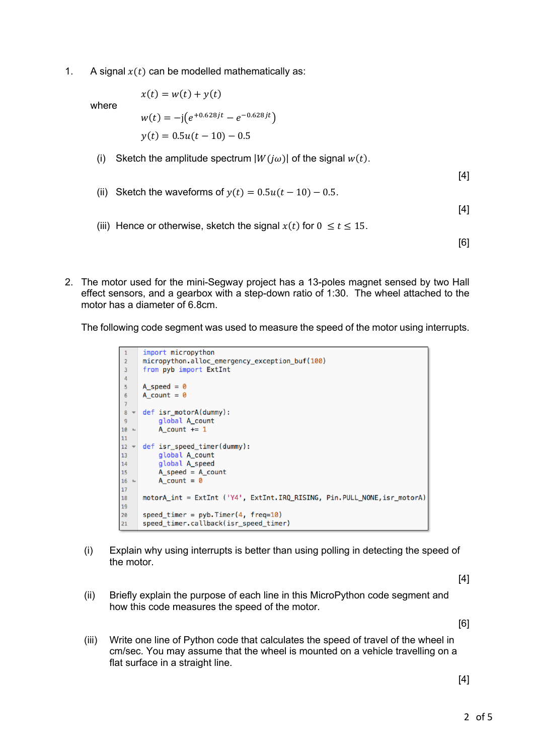1. A signal  $x(t)$  can be modelled mathematically as:

where

$$
x(t) = w(t) + y(t)
$$
  
\n
$$
w(t) = -j(e^{+0.628jt} - e^{-0.628jt})
$$
  
\n
$$
y(t) = 0.5u(t - 10) - 0.5
$$

(i) Sketch the amplitude spectrum  $|W(j\omega)|$  of the signal  $w(t)$ .

 $[4]$ 

(ii) Sketch the waveforms of  $y(t) = 0.5u(t - 10) - 0.5$ .

[4]

(iii) Hence or otherwise, sketch the signal  $x(t)$  for  $0 \le t \le 15$ .

[6]

2. The motor used for the mini-Segway project has a 13-poles magnet sensed by two Hall effect sensors, and a gearbox with a step-down ratio of 1:30. The wheel attached to the motor has a diameter of 6.8cm.

The following code segment was used to measure the speed of the motor using interrupts.

```
import micropython
 \mathbf{1}micropython.alloc_emergency_exception_buf(100)
\overline{2}\overline{3}from pyb import ExtInt
\overline{4}A_speed = 0\overline{\mathbf{5}}6\phantom{a}A_{count} = 0\overline{7}\sf 8def isr_motorA(dummy):
\overline{9}global A count
10 -A_{count} += 1
11def isr_speed_timer(dummy):
12 -13
            global A_count
14global A_speed
15
            A_speed = A_count16 -A count = \theta17motorA_int = ExtInt ('Y4', ExtInt.IRQ_RISING, Pin.PULL_NONE, isr_motorA)
18
19
       speed_timer = pyb.Timer(4, freq=10)20
\overline{21}speed_timer.callback(isr_speed_timer)
```
(i) Explain why using interrupts is better than using polling in detecting the speed of the motor.

[4]

(ii) Briefly explain the purpose of each line in this MicroPython code segment and how this code measures the speed of the motor.

[6]

(iii) Write one line of Python code that calculates the speed of travel of the wheel in cm/sec. You may assume that the wheel is mounted on a vehicle travelling on a flat surface in a straight line.

[4]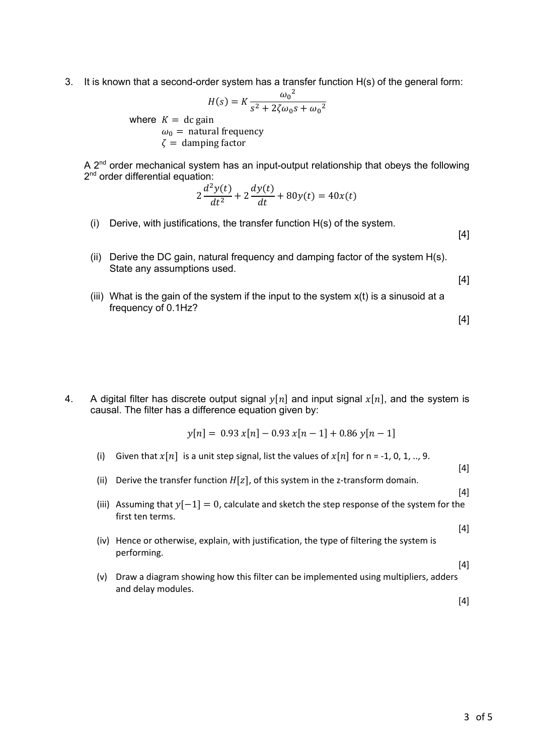3. It is known that a second-order system has a transfer function H(s) of the general form:

$$
H(s) = K \frac{\omega_0^2}{s^2 + 2\zeta\omega_0 s + \omega_0^2}
$$
  
gain  
tural frequency

where  $K = dc$  g

 $\omega_0$  = natural  $\zeta$  = damping factor

A  $2<sup>nd</sup>$  order mechanical system has an input-output relationship that obeys the following 2<sup>nd</sup> order differential equation:

$$
2\frac{d^2y(t)}{dt^2} + 2\frac{dy(t)}{dt} + 80y(t) = 40x(t)
$$

(i) Derive, with justifications, the transfer function H(s) of the system.

[4]

(ii) Derive the DC gain, natural frequency and damping factor of the system H(s). State any assumptions used.

[4]

(iii) What is the gain of the system if the input to the system  $x(t)$  is a sinusoid at a frequency of 0.1Hz?

[4]

4. A digital filter has discrete output signal  $\mathcal{V}[n]$  and input signal  $\mathcal{X}[n]$ , and the system is causal. The filter has a difference equation given by:

$$
y[n] = 0.93 x[n] - 0.93 x[n-1] + 0.86 y[n-1]
$$

- (i) Given that  $x[n]$  is a unit step signal, list the values of  $x[n]$  for n = -1, 0, 1, .., 9.
- (ii) Derive the transfer function  $H[z]$ , of this system in the z-transform domain.
- (iii) Assuming that  $y[-1] = 0$ , calculate and sketch the step response of the system for the first ten terms.
- (iv) Hence or otherwise, explain, with justification, the type of filtering the system is performing.
- (v) Draw a diagram showing how this filter can be implemented using multipliers, adders and delay modules.

[4]

 $[4]$ 

[4]

 $[4]$ 

[4]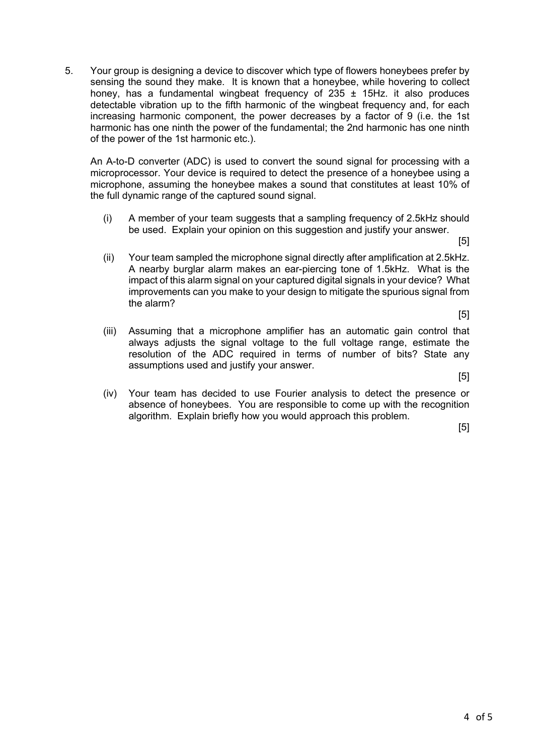5. Your group is designing a device to discover which type of flowers honeybees prefer by sensing the sound they make. It is known that a honeybee, while hovering to collect honey, has a fundamental wingbeat frequency of  $235 \pm 15$ Hz. it also produces detectable vibration up to the fifth harmonic of the wingbeat frequency and, for each increasing harmonic component, the power decreases by a factor of 9 (i.e. the 1st harmonic has one ninth the power of the fundamental; the 2nd harmonic has one ninth of the power of the 1st harmonic etc.).

An A-to-D converter (ADC) is used to convert the sound signal for processing with a microprocessor. Your device is required to detect the presence of a honeybee using a microphone, assuming the honeybee makes a sound that constitutes at least 10% of the full dynamic range of the captured sound signal.

(i) A member of your team suggests that a sampling frequency of 2.5kHz should be used. Explain your opinion on this suggestion and justify your answer.

[5]

- (ii) Your team sampled the microphone signal directly after amplification at 2.5kHz. A nearby burglar alarm makes an ear-piercing tone of 1.5kHz. What is the impact of this alarm signal on your captured digital signals in your device? What improvements can you make to your design to mitigate the spurious signal from the alarm?
- (iii) Assuming that a microphone amplifier has an automatic gain control that always adjusts the signal voltage to the full voltage range, estimate the resolution of the ADC required in terms of number of bits? State any assumptions used and justify your answer.

[5]

[5]

(iv) Your team has decided to use Fourier analysis to detect the presence or absence of honeybees. You are responsible to come up with the recognition algorithm. Explain briefly how you would approach this problem.

[5]